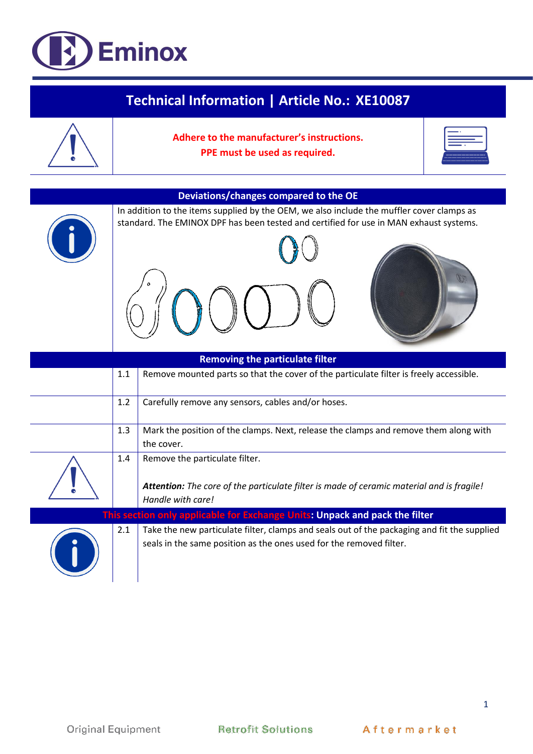## **D** Eminox

| <b>Technical Information   Article No.: XE10087</b> |     |                                                                                                                                                                                     |  |  |  |
|-----------------------------------------------------|-----|-------------------------------------------------------------------------------------------------------------------------------------------------------------------------------------|--|--|--|
|                                                     |     | Adhere to the manufacturer's instructions.<br>PPE must be used as required.                                                                                                         |  |  |  |
| Deviations/changes compared to the OE               |     |                                                                                                                                                                                     |  |  |  |
|                                                     |     | In addition to the items supplied by the OEM, we also include the muffler cover clamps as<br>standard. The EMINOX DPF has been tested and certified for use in MAN exhaust systems. |  |  |  |
| <b>Removing the particulate filter</b>              |     |                                                                                                                                                                                     |  |  |  |
|                                                     | 1.1 | Remove mounted parts so that the cover of the particulate filter is freely accessible.                                                                                              |  |  |  |
|                                                     | 1.2 | Carefully remove any sensors, cables and/or hoses.                                                                                                                                  |  |  |  |
|                                                     | 1.3 | Mark the position of the clamps. Next, release the clamps and remove them along with<br>the cover.                                                                                  |  |  |  |
|                                                     | 1.4 | Remove the particulate filter.<br>Attention: The core of the particulate filter is made of ceramic material and is fragile!<br>Handle with care!                                    |  |  |  |
|                                                     |     | This section only applicable for Exchange Units: Unpack and pack the filter                                                                                                         |  |  |  |
|                                                     | 2.1 | Take the new particulate filter, clamps and seals out of the packaging and fit the supplied<br>seals in the same position as the ones used for the removed filter.                  |  |  |  |